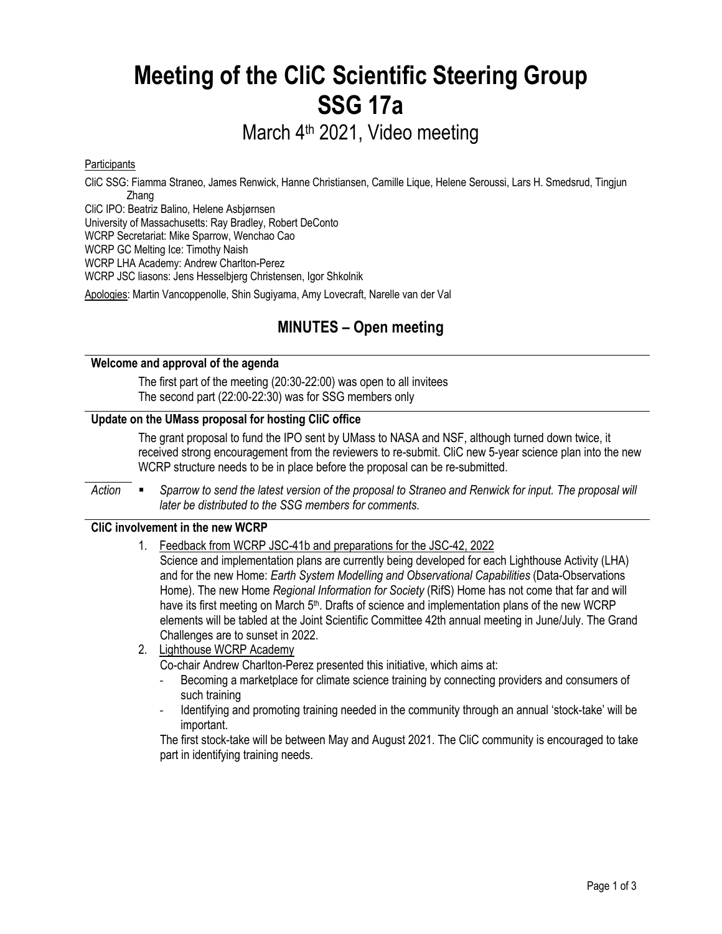# **Meeting of the CliC Scientific Steering Group SSG 17a**

## March 4th 2021, Video meeting

#### **Participants**

CliC SSG: Fiamma Straneo, James Renwick, Hanne Christiansen, Camille Lique, Helene Seroussi, Lars H. Smedsrud, Tingjun Zhang

CliC IPO: Beatriz Balino, Helene Asbjørnsen

University of Massachusetts: Ray Bradley, Robert DeConto

WCRP Secretariat: Mike Sparrow, Wenchao Cao

WCRP GC Melting Ice: Timothy Naish

WCRP LHA Academy: Andrew Charlton-Perez

WCRP JSC liasons: Jens Hesselbjerg Christensen, Igor Shkolnik

Apologies: Martin Vancoppenolle, Shin Sugiyama, Amy Lovecraft, Narelle van der Val

## **MINUTES – Open meeting**

#### **Welcome and approval of the agenda**

The first part of the meeting (20:30-22:00) was open to all invitees The second part (22:00-22:30) was for SSG members only

#### **Update on the UMass proposal for hosting CliC office**

The grant proposal to fund the IPO sent by UMass to NASA and NSF, although turned down twice, it received strong encouragement from the reviewers to re-submit. CliC new 5-year science plan into the new WCRP structure needs to be in place before the proposal can be re-submitted.

Action **•** Sparrow to send the latest version of the proposal to Straneo and Renwick for input. The proposal will *later be distributed to the SSG members for comments.* 

#### **CliC involvement in the new WCRP**

1. Feedback from WCRP JSC-41b and preparations for the JSC-42, 2022

Science and implementation plans are currently being developed for each Lighthouse Activity (LHA) and for the new Home: *Earth System Modelling and Observational Capabilities* (Data-Observations Home). The new Home *Regional Information for Society* (RifS) Home has not come that far and will have its first meeting on March 5<sup>th</sup>. Drafts of science and implementation plans of the new WCRP elements will be tabled at the Joint Scientific Committee 42th annual meeting in June/July. The Grand Challenges are to sunset in 2022.

2. Lighthouse WCRP Academy

Co-chair Andrew Charlton-Perez presented this initiative, which aims at:

- Becoming a marketplace for climate science training by connecting providers and consumers of such training
- Identifying and promoting training needed in the community through an annual 'stock-take' will be important.

The first stock-take will be between May and August 2021. The CliC community is encouraged to take part in identifying training needs.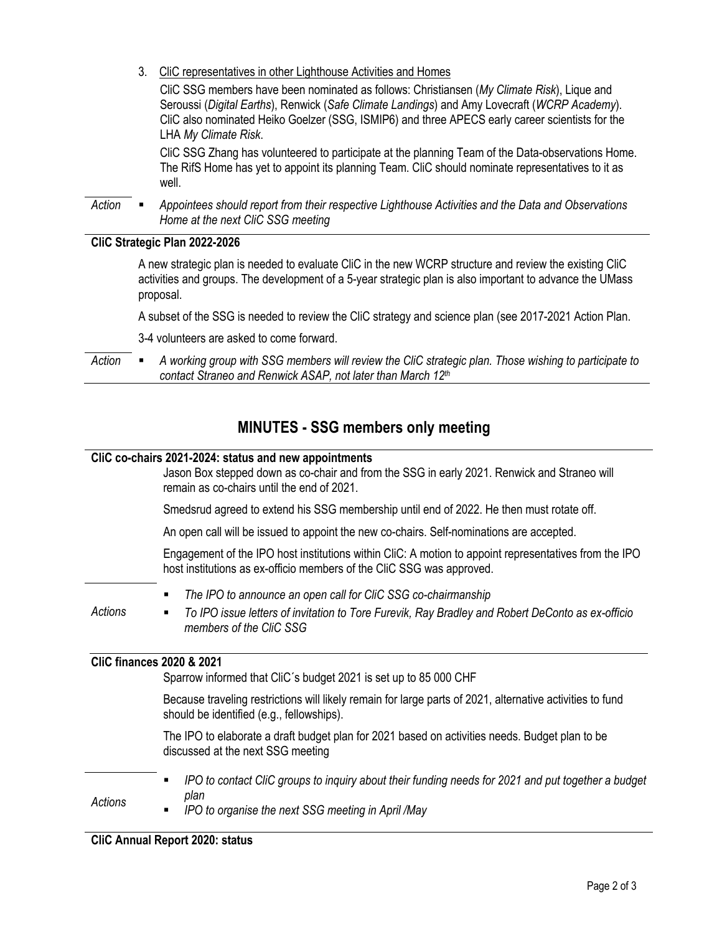3. CliC representatives in other Lighthouse Activities and Homes

CliC SSG members have been nominated as follows: Christiansen (*My Climate Risk*), Lique and Seroussi (*Digital Earths*), Renwick (*Safe Climate Landings*) and Amy Lovecraft (*WCRP Academy*). CliC also nominated Heiko Goelzer (SSG, ISMIP6) and three APECS early career scientists for the LHA *My Climate Risk*.

CliC SSG Zhang has volunteered to participate at the planning Team of the Data-observations Home. The RifS Home has yet to appoint its planning Team. CliC should nominate representatives to it as well.

*Action* § *Appointees should report from their respective Lighthouse Activities and the Data and Observations Home at the next CliC SSG meeting*

#### **CliC Strategic Plan 2022-2026**

A new strategic plan is needed to evaluate CliC in the new WCRP structure and review the existing CliC activities and groups. The development of a 5-year strategic plan is also important to advance the UMass proposal.

A subset of the SSG is needed to review the CliC strategy and science plan (see 2017-2021 Action Plan.

3-4 volunteers are asked to come forward.

*Action* § *A working group with SSG members will review the CliC strategic plan. Those wishing to participate to contact Straneo and Renwick ASAP, not later than March 12th*

### **MINUTES - SSG members only meeting**

#### **CliC co-chairs 2021-2024: status and new appointments**

Jason Box stepped down as co-chair and from the SSG in early 2021. Renwick and Straneo will remain as co-chairs until the end of 2021. Smedsrud agreed to extend his SSG membership until end of 2022. He then must rotate off. An open call will be issued to appoint the new co-chairs. Self-nominations are accepted. Engagement of the IPO host institutions within CliC: A motion to appoint representatives from the IPO host institutions as ex-officio members of the CliC SSG was approved. *Actions* § *The IPO to announce an open call for CliC SSG co-chairmanship* § *To IPO issue letters of invitation to Tore Furevik, Ray Bradley and Robert DeConto as ex-officio members of the CliC SSG*  **CliC finances 2020 & 2021** Sparrow informed that CliC´s budget 2021 is set up to 85 000 CHF Because traveling restrictions will likely remain for large parts of 2021, alternative activities to fund should be identified (e.g., fellowships). The IPO to elaborate a draft budget plan for 2021 based on activities needs. Budget plan to be discussed at the next SSG meeting *Actions* § *IPO to contact CliC groups to inquiry about their funding needs for 2021 and put together a budget plan* § *IPO to organise the next SSG meeting in April /May*

**CliC Annual Report 2020: status**